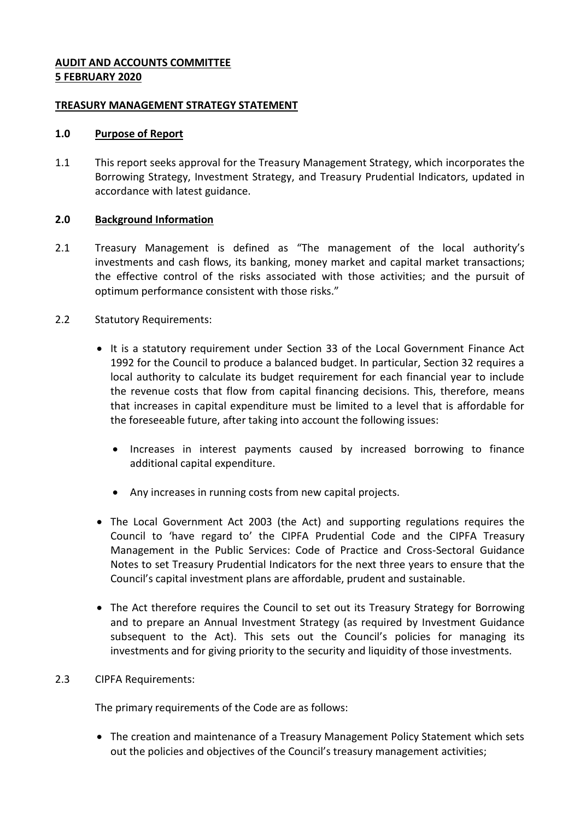### **AUDIT AND ACCOUNTS COMMITTEE 5 FEBRUARY 2020**

### **TREASURY MANAGEMENT STRATEGY STATEMENT**

### **1.0 Purpose of Report**

1.1 This report seeks approval for the Treasury Management Strategy, which incorporates the Borrowing Strategy, Investment Strategy, and Treasury Prudential Indicators, updated in accordance with latest guidance.

## **2.0 Background Information**

2.1 Treasury Management is defined as "The management of the local authority's investments and cash flows, its banking, money market and capital market transactions; the effective control of the risks associated with those activities; and the pursuit of optimum performance consistent with those risks."

## 2.2 Statutory Requirements:

- It is a statutory requirement under Section 33 of the Local Government Finance Act 1992 for the Council to produce a balanced budget. In particular, Section 32 requires a local authority to calculate its budget requirement for each financial year to include the revenue costs that flow from capital financing decisions. This, therefore, means that increases in capital expenditure must be limited to a level that is affordable for the foreseeable future, after taking into account the following issues:
	- Increases in interest payments caused by increased borrowing to finance additional capital expenditure.
	- Any increases in running costs from new capital projects.
- The Local Government Act 2003 (the Act) and supporting regulations requires the Council to 'have regard to' the CIPFA Prudential Code and the CIPFA Treasury Management in the Public Services: Code of Practice and Cross-Sectoral Guidance Notes to set Treasury Prudential Indicators for the next three years to ensure that the Council's capital investment plans are affordable, prudent and sustainable.
- The Act therefore requires the Council to set out its Treasury Strategy for Borrowing and to prepare an Annual Investment Strategy (as required by Investment Guidance subsequent to the Act). This sets out the Council's policies for managing its investments and for giving priority to the security and liquidity of those investments.

# 2.3 CIPFA Requirements:

The primary requirements of the Code are as follows:

• The creation and maintenance of a Treasury Management Policy Statement which sets out the policies and objectives of the Council's treasury management activities;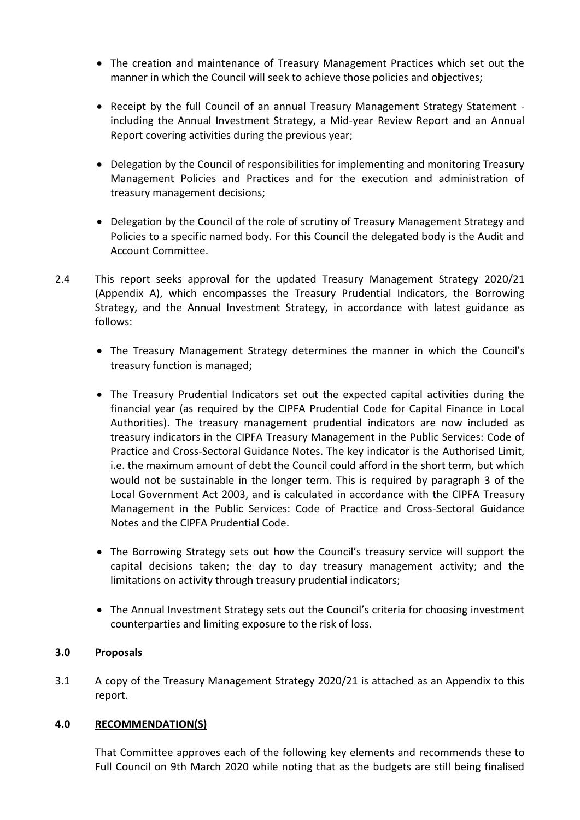- The creation and maintenance of Treasury Management Practices which set out the manner in which the Council will seek to achieve those policies and objectives;
- Receipt by the full Council of an annual Treasury Management Strategy Statement including the Annual Investment Strategy, a Mid-year Review Report and an Annual Report covering activities during the previous year;
- Delegation by the Council of responsibilities for implementing and monitoring Treasury Management Policies and Practices and for the execution and administration of treasury management decisions;
- Delegation by the Council of the role of scrutiny of Treasury Management Strategy and Policies to a specific named body. For this Council the delegated body is the Audit and Account Committee.
- 2.4 This report seeks approval for the updated Treasury Management Strategy 2020/21 (Appendix A), which encompasses the Treasury Prudential Indicators, the Borrowing Strategy, and the Annual Investment Strategy, in accordance with latest guidance as follows:
	- The Treasury Management Strategy determines the manner in which the Council's treasury function is managed;
	- The Treasury Prudential Indicators set out the expected capital activities during the financial year (as required by the CIPFA Prudential Code for Capital Finance in Local Authorities). The treasury management prudential indicators are now included as treasury indicators in the CIPFA Treasury Management in the Public Services: Code of Practice and Cross-Sectoral Guidance Notes. The key indicator is the Authorised Limit, i.e. the maximum amount of debt the Council could afford in the short term, but which would not be sustainable in the longer term. This is required by paragraph 3 of the Local Government Act 2003, and is calculated in accordance with the CIPFA Treasury Management in the Public Services: Code of Practice and Cross-Sectoral Guidance Notes and the CIPFA Prudential Code.
	- The Borrowing Strategy sets out how the Council's treasury service will support the capital decisions taken; the day to day treasury management activity; and the limitations on activity through treasury prudential indicators;
	- The Annual Investment Strategy sets out the Council's criteria for choosing investment counterparties and limiting exposure to the risk of loss.

# **3.0 Proposals**

3.1 A copy of the Treasury Management Strategy 2020/21 is attached as an Appendix to this report.

### **4.0 RECOMMENDATION(S)**

That Committee approves each of the following key elements and recommends these to Full Council on 9th March 2020 while noting that as the budgets are still being finalised